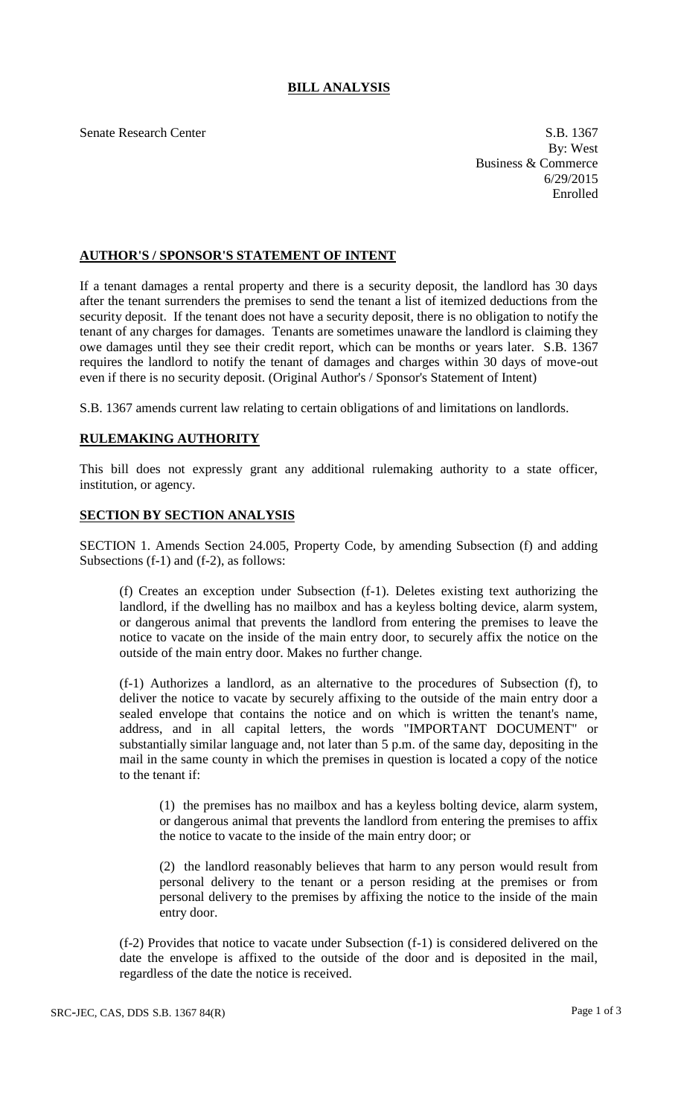## **BILL ANALYSIS**

Senate Research Center S.B. 1367

By: West Business & Commerce 6/29/2015 Enrolled

## **AUTHOR'S / SPONSOR'S STATEMENT OF INTENT**

If a tenant damages a rental property and there is a security deposit, the landlord has 30 days after the tenant surrenders the premises to send the tenant a list of itemized deductions from the security deposit. If the tenant does not have a security deposit, there is no obligation to notify the tenant of any charges for damages. Tenants are sometimes unaware the landlord is claiming they owe damages until they see their credit report, which can be months or years later. S.B. 1367 requires the landlord to notify the tenant of damages and charges within 30 days of move-out even if there is no security deposit. (Original Author's / Sponsor's Statement of Intent)

S.B. 1367 amends current law relating to certain obligations of and limitations on landlords.

## **RULEMAKING AUTHORITY**

This bill does not expressly grant any additional rulemaking authority to a state officer, institution, or agency.

## **SECTION BY SECTION ANALYSIS**

SECTION 1. Amends Section 24.005, Property Code, by amending Subsection (f) and adding Subsections (f-1) and (f-2), as follows:

(f) Creates an exception under Subsection (f-1). Deletes existing text authorizing the landlord, if the dwelling has no mailbox and has a keyless bolting device, alarm system, or dangerous animal that prevents the landlord from entering the premises to leave the notice to vacate on the inside of the main entry door, to securely affix the notice on the outside of the main entry door. Makes no further change.

(f-1) Authorizes a landlord, as an alternative to the procedures of Subsection (f), to deliver the notice to vacate by securely affixing to the outside of the main entry door a sealed envelope that contains the notice and on which is written the tenant's name, address, and in all capital letters, the words "IMPORTANT DOCUMENT" or substantially similar language and, not later than 5 p.m. of the same day, depositing in the mail in the same county in which the premises in question is located a copy of the notice to the tenant if:

(1) the premises has no mailbox and has a keyless bolting device, alarm system, or dangerous animal that prevents the landlord from entering the premises to affix the notice to vacate to the inside of the main entry door; or

(2) the landlord reasonably believes that harm to any person would result from personal delivery to the tenant or a person residing at the premises or from personal delivery to the premises by affixing the notice to the inside of the main entry door.

(f-2) Provides that notice to vacate under Subsection (f-1) is considered delivered on the date the envelope is affixed to the outside of the door and is deposited in the mail, regardless of the date the notice is received.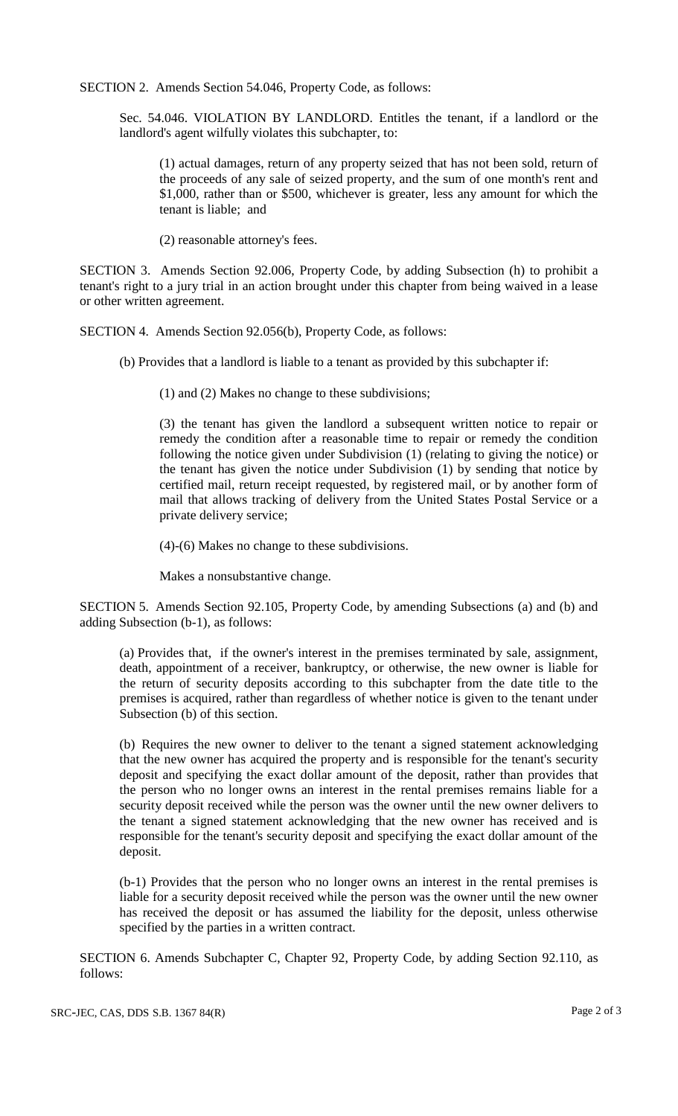SECTION 2. Amends Section 54.046, Property Code, as follows:

Sec. 54.046. VIOLATION BY LANDLORD. Entitles the tenant, if a landlord or the landlord's agent wilfully violates this subchapter, to:

(1) actual damages, return of any property seized that has not been sold, return of the proceeds of any sale of seized property, and the sum of one month's rent and \$1,000, rather than or \$500, whichever is greater, less any amount for which the tenant is liable; and

(2) reasonable attorney's fees.

SECTION 3. Amends Section 92.006, Property Code, by adding Subsection (h) to prohibit a tenant's right to a jury trial in an action brought under this chapter from being waived in a lease or other written agreement.

SECTION 4. Amends Section 92.056(b), Property Code, as follows:

(b) Provides that a landlord is liable to a tenant as provided by this subchapter if:

(1) and (2) Makes no change to these subdivisions;

(3) the tenant has given the landlord a subsequent written notice to repair or remedy the condition after a reasonable time to repair or remedy the condition following the notice given under Subdivision (1) (relating to giving the notice) or the tenant has given the notice under Subdivision (1) by sending that notice by certified mail, return receipt requested, by registered mail, or by another form of mail that allows tracking of delivery from the United States Postal Service or a private delivery service;

(4)-(6) Makes no change to these subdivisions.

Makes a nonsubstantive change.

SECTION 5. Amends Section 92.105, Property Code, by amending Subsections (a) and (b) and adding Subsection (b-1), as follows:

(a) Provides that, if the owner's interest in the premises terminated by sale, assignment, death, appointment of a receiver, bankruptcy, or otherwise, the new owner is liable for the return of security deposits according to this subchapter from the date title to the premises is acquired, rather than regardless of whether notice is given to the tenant under Subsection (b) of this section.

(b) Requires the new owner to deliver to the tenant a signed statement acknowledging that the new owner has acquired the property and is responsible for the tenant's security deposit and specifying the exact dollar amount of the deposit, rather than provides that the person who no longer owns an interest in the rental premises remains liable for a security deposit received while the person was the owner until the new owner delivers to the tenant a signed statement acknowledging that the new owner has received and is responsible for the tenant's security deposit and specifying the exact dollar amount of the deposit.

(b-1) Provides that the person who no longer owns an interest in the rental premises is liable for a security deposit received while the person was the owner until the new owner has received the deposit or has assumed the liability for the deposit, unless otherwise specified by the parties in a written contract.

SECTION 6. Amends Subchapter C, Chapter 92, Property Code, by adding Section 92.110, as follows: